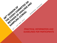# **PRACTICAL INFORMATION AND** *GUIDELINES FOR PARTICIPANTS*

BUDARES, HUNGARY

38 XXX CODE OF AMAILISTS AND

SAMPLING CCM-50

39-14 SESS ON ON

SAMPLING COMMITTEE ON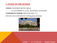## **1. VENUE OF THE SESSION**

# **VENUE:** DANUBIUS HOTEL HELIA H-1133 KÁRPÁT U. 62-64., BUDAPEST, HUNGARY **CONFERENCE ROOM: HELIA (FLOOR ,,C")**

(Also the venue of the physical working group meetings)

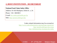## **2. HOST INSTITUTION - SECRETARIAT**

#### **National Food Chain Safety Office**

Address: H-1024 Budapest, Keleti K. u. 24.

Phone: +36 1 368 8815

E-mail: [hu-codexcp@nebih.gov.hu](mailto:hu-codexcp@nebih.gov.hu)

Web: <http://portal.nebih.gov.hu/>

 Codex related information may be accessed at: <http://www.codexalimentarius.org/meetings-reports/en/> <http://portal.nebih.gov.hu/ccmas> <http://elelmiszerlanc.kormany.hu/codex>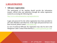## **3. REGISTRATION**

### • **Advance registration**

The participants of the meeting should provide the information (names, official titles and addresses) through the online registration system by accessing the following link:

[http://www.codexalimentarius.org/registration/en.](http://www.codexalimentarius.org/registration/en)

Login and password for the online registration have been provided to all Codex Members and Observers. If the login and password have not been received, please contact codex @fao.org.

In case of technical difficulty the registration may also be sent to the Hungarian Codex Contact Point directly [\(hu-codexcp@nebih.gov.hu](mailto:hu-codexcp@nebih.gov.hu)).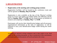## **3. REGISTRATION**

i

#### • **Registration at the meeting and working group sessions** Registration facilities will be located at the conference room and will be opened on **Monday, May 8 at 9:00.**

Registration is also available at the day of the *Physical working group on review and update of CODEX STAN 234-1999* that will be held on **Sunday, May 7** at **9:00** and the *Endorsement of methods of analysis and sampling* on **Sunday, May 7** at **14:00**.

Participants will receive their identification badges and all necessary organizational information at the time of registration. It will be required to carry your identification badge visible during the whole meeting.

*Delegates are advised to bring computers and, if they prefer to use, hard copies of the working documents, as due to protection of the environment, previously published documents will not be printed at the venue.*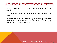# **4. TRANSLATION AND INTERPRETATION SERVICES**

The 38th CCMAS meeting will be conducted in **English**, **French** and **Spanish**.

Simultaneous interpretation will be provided in these languages during the session.

Please be informed that on Sunday during the working group sessions interpretation will not be provided. The language of the working group meetings will be conducted in English.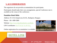# **5. ACCOMMODATION**

The organizers do not provide accommodation for participants.

Participants should make their own arrangements, special Conference rate is available at the venue of the conference:

## **Danubius Hotel Helia**

Address: H-1133, Kárpát utca 62-64., Budapest, Hungary

Phone: +36-1-889-5800

Website:<http://www.danubiushotels.com/helia>

GPS Coordinates:  $N$  [47°31'32"](http://www.danubiushotels.com/) E 19°3'21,

Online registration for accomodation is available:





 $\overline{a}$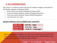# **5. ACCOMMODATION**

The venue is a conference hotel with spa and wellness complex on the bank of the Danube, opposite to Margaret Island.

- 26 km from Liszt Ferenc International Airport, BUD
- 2 km from Western Railway Station (Nyugati Pályaudvar)
- 9 km from Eastern Railway Station (Keleti Pályaudvar)
- 3 km from the city centre

Ī

#### **Special Conference rate is available until 7 April 2017:**

| <b>Single room:</b> | EUR $90, -/$ night         |
|---------------------|----------------------------|
| Double room:        | $EUR 100, -/night$         |
| <b>Danube view:</b> | $+EUR$ 15, $-$ /room/night |

*Prices include buffet breakfast, free WiFi in the entire hotel, taxes (VAT 18%, local tax 4%), the use of the spa facilities (indoor pools, thermal bath, jacuzzi, sauna, steam room) and Danubius Premier Fitness.*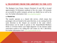The Budapest Liszt Ferenc Airport (Terminal 2A and 2B) is located approximately 16 kilometers southeast of the city centre. All terminals are accessible by public transport, private car, shuttle bus as well as by taxi. For further information visit: [www.bud.hu/english](http://www.bud.hu/english)

#### **a. Shuttle bus**

The transfer operates as a shared ride service, which means that passengers who are bound to the same direction, or are coming from the same direction to the Airport are escorted in the same vehicle. Reservations can be made in person at the AirportShuttle-Minibusz Desks or 24 hours before your flight departure via the internet online reservation system or by calling the Call Center at (+36 1 296 8555). For further information visit: [www.airportshuttle.hu/en](http://www.airportshuttle.hu/en)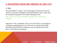#### **b. Taxi**

Recommendation: "Főtaxi" carries passengers at fixed fares from the Airport to any point of Budapest. International bank cards, credit cards are accepted for payment. For further information visit: [http://www.fotaxi.hu/taxi-budapest-eng.php?oldal=english-taxi](http://www.fotaxi.hu/taxi-budapest-eng.php?oldal=english-taxi-budapest)[budapest](http://www.fotaxi.hu/taxi-budapest-eng.php?oldal=english-taxi-budapest)

*Important: From 1 September 2013 a new Taxi Decree was introduced in Hungary regulating the price\* of the taxis at a fixed tariff of 280 HUF/Km (0.95 EUR/Km) in addition to the one-off basic fee of 450 HUF (1.50 EUR) and waiting fee.*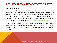#### **c. Public Transport**

The Airport is relatively well accessible by public transportation. Passengers are taken by a direct bus service (number 200E) from Terminal 2, to 'Kőbánya-Kispest' metro terminal. The service is relatively frequent and it operates from early morning (from 4.30 a.m.) to late at night (until 11:30 p.m.) (even after midnight) providing a link between 'Kőbánya-Kispest' and the Airport. (Further information: [http://www.bkk.hu/apps/docs/terkep/repter.pdf\)](http://www.bkk.hu/apps/docs/terkep/repter.pdf)

From 'Kőbánya-Kispest' take M3 (metro line number 3) with direction 'Újpest-Központ', which will take you to 'Dózsa György út' metro station. Get off and walk ahead on 'Dráva utca'. The Hotel will be at the 4<sup>th</sup> corner on the left.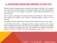Tickets for public transportation are available at the airport from BKK at its customer service points, from the post office, the newsagents (Relay) and from ticket machines at the bus stop. It is also possible to purchase a ticket from the bus driver for an increased price.

The post office is located on the mezzanine level of Terminal 2A, where 24 and 72 hour, weekly and monthly travel passes for Budapest public transport are also available.

Newsagents only sell single tickets, 10-piece ticket booklets and short section tickets.

At the Tourist Information – Budapest Info Point counters located on the arrivals levels of Terminals 2A and 2B, 24, 48 and 72-hour Budapest Cards are also available, which, in addition to numerous discounts, offer unlimited use of public transportation during the period of validity. For more information, please visit [http://budapest](http://budapest-card.com/en/)[card.com/en/](http://budapest-card.com/en/).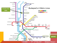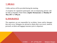

Coffee and tea will be provided during the meeting.

A reception for registered participants and accompanying persons will be held at Danubius Hotel Helia (**Jupiter Restaurant**) on **Monday 8th May 2017** at **7.00 p.m**.

## **8. INSURANCE**

The organizers are not responsible for accidents, losses and/or damages that may occur. Delegates are advised to obtain their own travel, medical, personal, accident and luggage insurance prior to departure.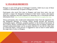## **9. VISA REQUIREMENTS**

Hungary is part of the group of Schengen Countries. Valid visa to any of those countries is automatically accepted in Hungary as well.

Participants who travel first time to Hungary and must have entry visa are advised to contact the Hungarian Embassy in their home country and enquire about the conditions and time required for obtaining visa, or download relevant information from: <http://konzuliszolgalat.kormany.hu/how-to-apply-for-visa>.

Those participants who would need endorsement letter from the organizers for the Hungarian Ministry of Foreign Affairs should provide the necessary information (name, affiliation, passport number) to the technical Secretariat of the CCMAS. Please, consider that for VISA request only an original, signed and stamped endorsement letter can be accepted, therefore it can last for some days to e-mail the letters. VISA process is suggested to start at least 6 weeks before the target date of entry to Hungary.